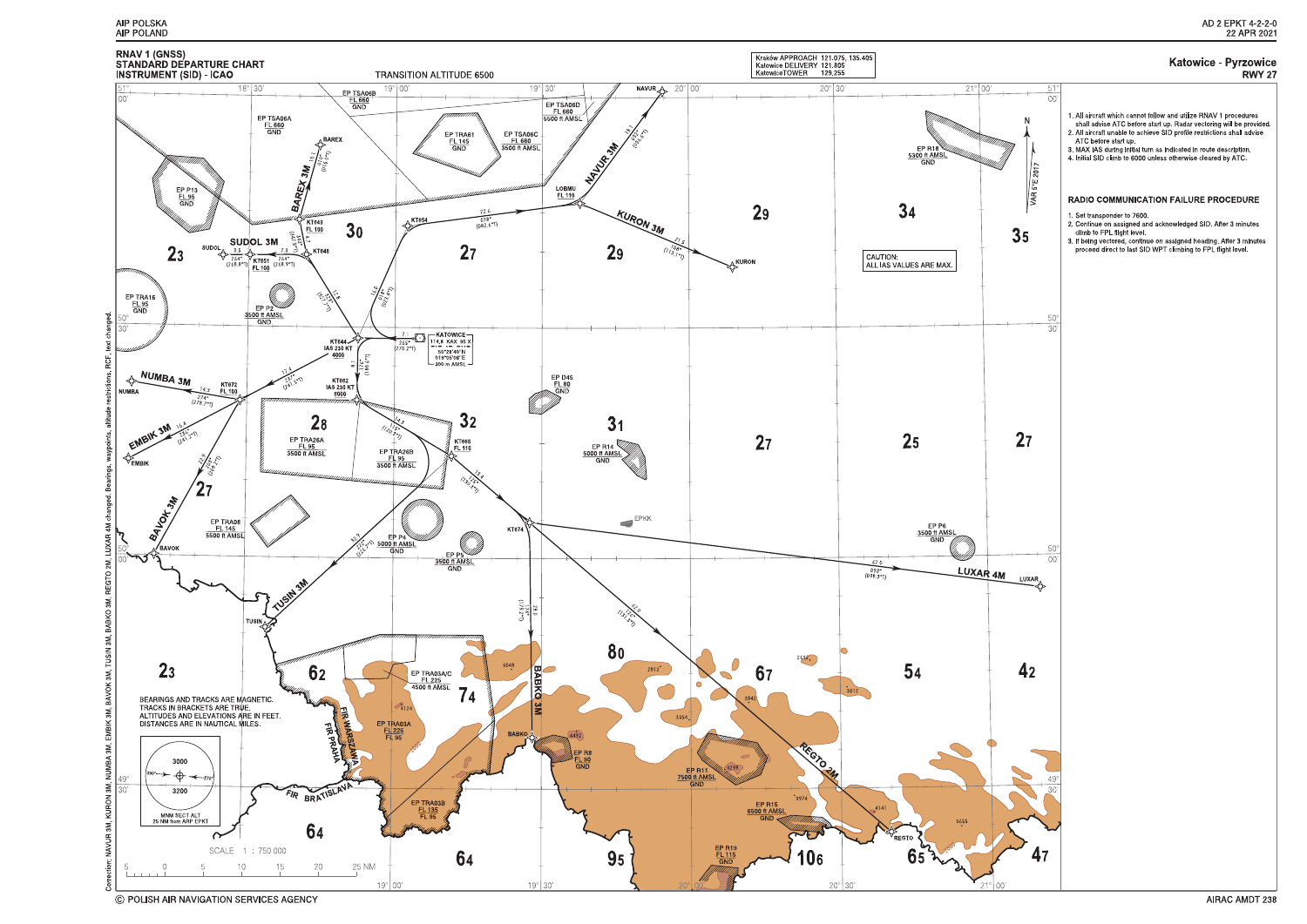



### **Katowice - Pyrzowice RWY 27**

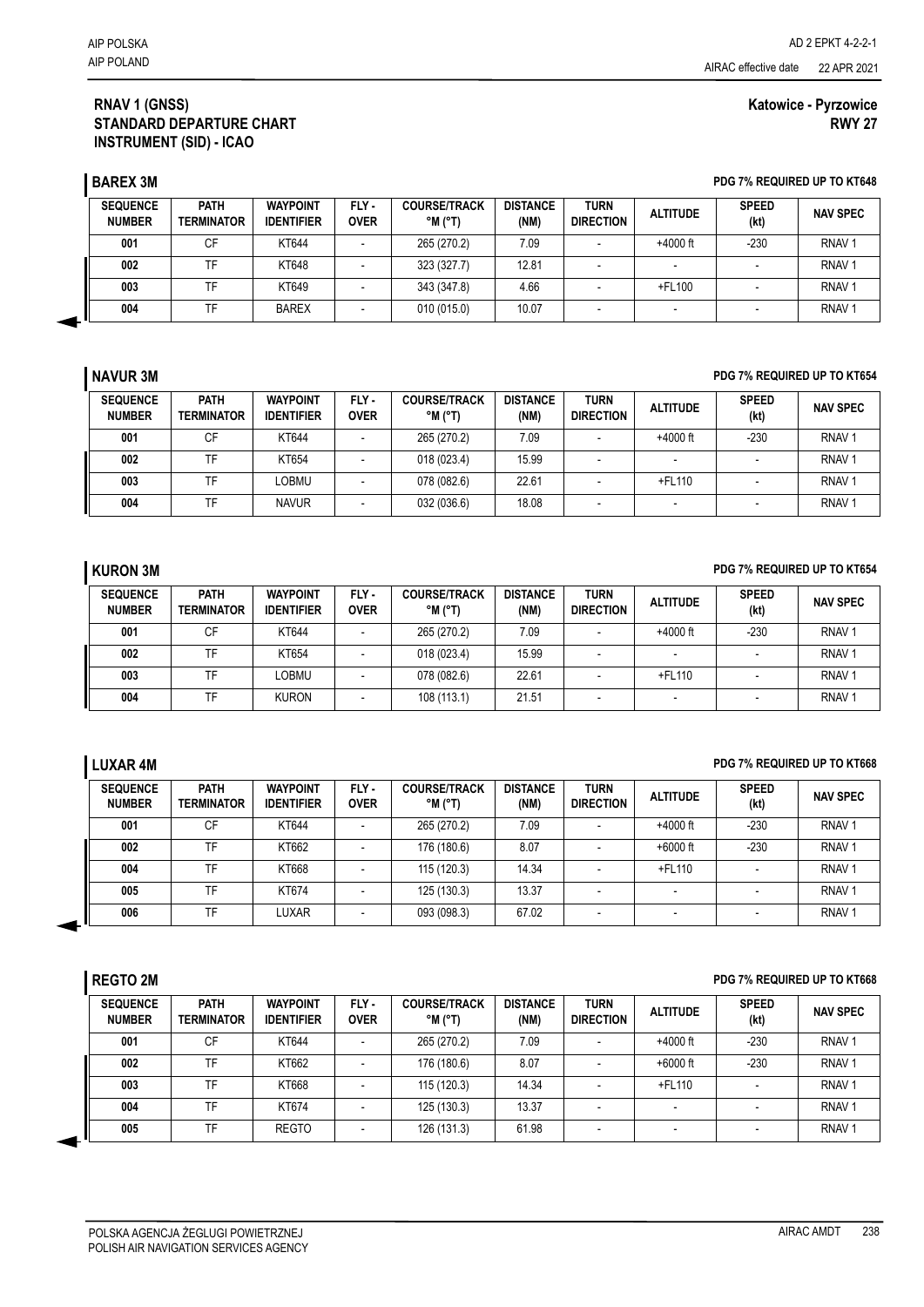### **RNAV 1 (GNSS) STANDARD DEPARTURE CHART INSTRUMENT (SID) - ICAO**

### **Katowice - Pyrzowice RWY 27**

**BAREX 3M PDG 7% REQUIRED UP TO KT648**

| <b>SEQUENCE</b><br><b>NUMBER</b> | <b>PATH</b><br><b>TERMINATOR</b> | <b>WAYPOINT</b><br><b>IDENTIFIER</b> | FLY-<br><b>OVER</b> | <b>COURSE/TRACK</b><br>$^{\circ}$ M ( $^{\circ}$ T) | <b>DISTANCE</b><br>(NM) | <b>TURN</b><br><b>DIRECTION</b> | <b>ALTITUDE</b> | <b>SPEED</b><br>(kt) | <b>NAV SPEC</b>   |
|----------------------------------|----------------------------------|--------------------------------------|---------------------|-----------------------------------------------------|-------------------------|---------------------------------|-----------------|----------------------|-------------------|
| 001                              | СF                               | KT644                                |                     | 265 (270.2)                                         | 7.09                    | $\overline{\phantom{a}}$        | $+4000$ ft      | -230                 | RNAV <sub>1</sub> |
| 002                              | TF                               | <b>KT648</b>                         | $\,$                | 323 (327.7)                                         | 12.81                   |                                 | -               |                      | RNAV <sub>1</sub> |
| 003                              | TF                               | KT649                                |                     | 343 (347.8)                                         | 4.66                    |                                 | +FL100          |                      | RNAV <sub>1</sub> |
| 004                              | TF                               | <b>BAREX</b>                         | -                   | 010 (015.0)                                         | 10.07                   | $\overline{\phantom{0}}$        |                 |                      | RNAV <sup></sup>  |

# **NAVUR 3M PDG 7% REQUIRED UP TO KT654**

| <b>SEQUENCE</b><br><b>NUMBER</b> | <b>PATH</b><br><b>TERMINATOR</b> | <b>WAYPOINT</b><br><b>IDENTIFIER</b> | FLY-<br><b>OVER</b> | <b>COURSE/TRACK</b><br>$^{\circ}$ M $^{\circ}$ T) | <b>DISTANCE</b><br>(NM) | <b>TURN</b><br><b>DIRECTION</b> | <b>ALTITUDE</b> | <b>SPEED</b><br>(kt) | <b>NAV SPEC</b>   |
|----------------------------------|----------------------------------|--------------------------------------|---------------------|---------------------------------------------------|-------------------------|---------------------------------|-----------------|----------------------|-------------------|
| 001                              | СF                               | KT644                                |                     | 265 (270.2)                                       | 7.09                    |                                 | $+4000$ ft      | -230                 | RNAV <sup></sup>  |
| 002                              |                                  | KT654                                |                     | 018 (023.4)                                       | 15.99                   |                                 |                 |                      | RNAV <sup>.</sup> |
| 003                              | ΤΕ                               | Lobmu                                |                     | 078 (082.6)                                       | 22.61                   |                                 | +FL110          |                      | RNAV <sup>.</sup> |
| 004                              | TF                               | <b>NAVUR</b>                         |                     | 032 (036.6)                                       | 18.08                   |                                 | -               |                      | RNAV <sup>.</sup> |

# **KURON 3M PDG 7% REQUIRED UP TO KT654**

| <b>SEQUENCE</b><br><b>NUMBER</b> | <b>PATH</b><br><b>TERMINATOR</b> | <b>WAYPOINT</b><br><b>IDENTIFIER</b> | FLY-<br><b>OVER</b> | <b>COURSE/TRACK</b><br>$^{\circ}$ M ( $^{\circ}$ T) | <b>DISTANCE</b><br>(NM) | TURN<br><b>DIRECTION</b> | <b>ALTITUDE</b> | <b>SPEED</b><br>(kt) | <b>NAV SPEC</b>   |
|----------------------------------|----------------------------------|--------------------------------------|---------------------|-----------------------------------------------------|-------------------------|--------------------------|-----------------|----------------------|-------------------|
| 001                              | СF                               | KT644                                |                     | 265 (270.2)                                         | 7.09                    |                          | $+4000$ ft      | $-230$               | RNAV <sub>1</sub> |
| 002                              |                                  | KT654                                |                     | 018 (023.4)                                         | 15.99                   |                          |                 |                      | RNAV <sub>1</sub> |
| 003                              | тc                               | LOBMU                                |                     | 078 (082.6)                                         | 22.61                   |                          | $+$ FL110       |                      | RNAV <sub>1</sub> |
| 004                              | ΤE                               | <b>KURON</b>                         |                     | 108 (113.1)                                         | 21.51                   |                          | -               |                      | RNAV <sub>1</sub> |

## **LUXAR 4M PDG 7% REQUIRED UP TO KT668**

| <b>SEQUENCE</b><br><b>NUMBER</b> | <b>PATH</b><br><b>TERMINATOR</b> | <b>WAYPOINT</b><br><b>IDENTIFIER</b> | FLY -<br><b>OVER</b> | <b>COURSE/TRACK</b><br>$^{\circ}$ M $^{\circ}$ T) | <b>DISTANCE</b><br>(NM) | <b>TURN</b><br><b>DIRECTION</b> | <b>ALTITUDE</b> | <b>SPEED</b><br>(kt) | <b>NAV SPEC</b>   |
|----------------------------------|----------------------------------|--------------------------------------|----------------------|---------------------------------------------------|-------------------------|---------------------------------|-----------------|----------------------|-------------------|
| 001                              | СF                               | KT644                                |                      | 265 (270.2)                                       | 7.09                    |                                 | $+4000$ ft      | $-230$               | RNAV <sub>1</sub> |
| 002                              | TF                               | KT662                                |                      | 176 (180.6)                                       | 8.07                    |                                 | $+6000$ ft      | $-230$               | RNAV <sub>1</sub> |
| 004                              | TF                               | KT668                                |                      | 115 (120.3)                                       | 14.34                   |                                 | +FL110          |                      | RNAV <sub>1</sub> |
| 005                              | TF                               | KT674                                |                      | 125 (130.3)                                       | 13.37                   |                                 | -               |                      | RNAV <sub>1</sub> |
| 006                              | TF                               | LUXAR                                |                      | 093 (098.3)                                       | 67.02                   |                                 | -               |                      | RNAV <sub>1</sub> |

# **REGTO 2M PDG 7% REQUIRED UP TO KT668**

| <b>SEQUENCE</b><br><b>NUMBER</b> | <b>PATH</b><br><b>TERMINATOR</b> | <b>WAYPOINT</b><br><b>IDENTIFIER</b> | FLY-<br><b>OVER</b> | <b>COURSE/TRACK</b><br>$^{\circ}$ M ( $^{\circ}$ T) | <b>DISTANCE</b><br>(NM) | <b>TURN</b><br><b>DIRECTION</b> | <b>ALTITUDE</b> | <b>SPEED</b><br>(kt) | <b>NAV SPEC</b>   |
|----------------------------------|----------------------------------|--------------------------------------|---------------------|-----------------------------------------------------|-------------------------|---------------------------------|-----------------|----------------------|-------------------|
| 001                              | СF                               | KT644                                |                     | 265 (270.2)                                         | 7.09                    |                                 | $+4000$ ft      | $-230$               | RNAV <sub>1</sub> |
| 002                              | TF                               | KT662                                |                     | 176 (180.6)                                         | 8.07                    |                                 | $+6000$ ft      | $-230$               | RNAV <sub>1</sub> |
| 003                              | TF                               | KT668                                |                     | 115 (120.3)                                         | 14.34                   |                                 | +FL110          |                      | RNAV <sub>1</sub> |
| 004                              | TF                               | KT674                                |                     | 125 (130.3)                                         | 13.37                   |                                 |                 |                      | RNAV <sub>1</sub> |
| 005                              | TF                               | <b>REGTO</b>                         |                     | 126 (131.3)                                         | 61.98                   |                                 |                 |                      | RNAV <sub>1</sub> |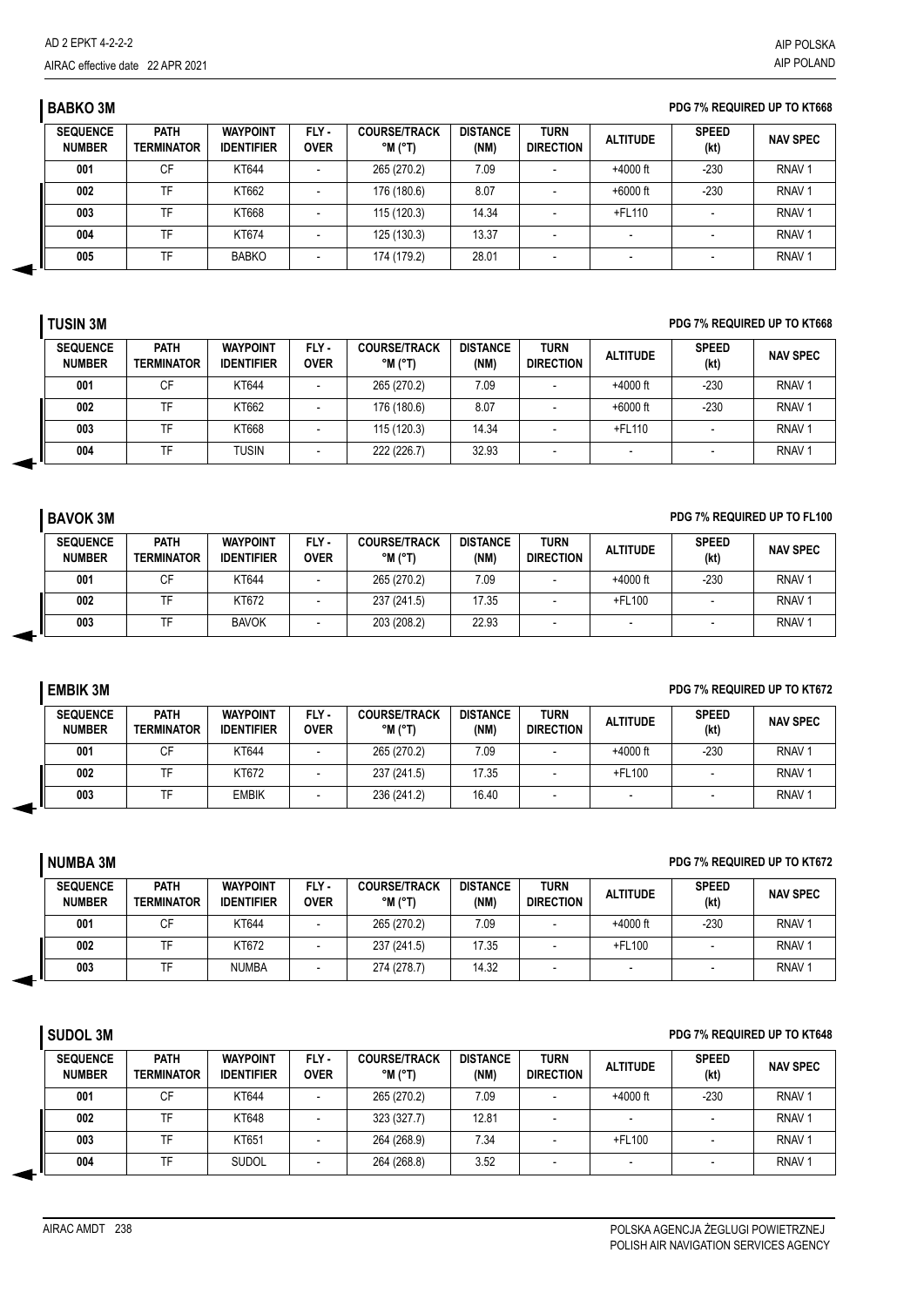### **BABKO 3M PDG 7% REQUIRED UP TO KT668**

| <b>SEQUENCE</b><br><b>NUMBER</b> | <b>PATH</b><br><b>TERMINATOR</b> | <b>WAYPOINT</b><br><b>IDENTIFIER</b> | FLY-<br><b>OVER</b> | <b>COURSE/TRACK</b><br>$^{\circ}$ M ( $^{\circ}$ T) | <b>DISTANCE</b><br>(NM) | <b>TURN</b><br><b>DIRECTION</b> | <b>ALTITUDE</b> | <b>SPEED</b><br>(kt) | <b>NAV SPEC</b>   |
|----------------------------------|----------------------------------|--------------------------------------|---------------------|-----------------------------------------------------|-------------------------|---------------------------------|-----------------|----------------------|-------------------|
| 001                              | CF                               | KT644                                |                     | 265 (270.2)                                         | 7.09                    | $\overline{\phantom{0}}$        | $+4000$ ft      | $-230$               | RNAV <sub>1</sub> |
| 002                              | TF                               | KT662                                |                     | 176 (180.6)                                         | 8.07                    |                                 | $+6000$ ft      | $-230$               | RNAV <sub>1</sub> |
| 003                              | TF                               | KT668                                |                     | 115 (120.3)                                         | 14.34                   |                                 | +FL110          |                      | RNAV <sub>1</sub> |
| 004                              | TF                               | KT674                                |                     | 125 (130.3)                                         | 13.37                   | $\overline{\phantom{a}}$        | -               |                      | RNAV <sub>1</sub> |
| 005                              | TF                               | <b>BABKO</b>                         | $\blacksquare$      | 174 (179.2)                                         | 28.01                   | $\overline{\phantom{a}}$        |                 |                      | RNAV <sub>1</sub> |

# **TUSIN 3M PDG 7% REQUIRED UP TO KT668**

| <b>SEQUENCE</b><br><b>NUMBER</b> | <b>PATH</b><br><b>TERMINATOR</b> | <b>WAYPOINT</b><br><b>IDENTIFIER</b> | FLY-<br><b>OVER</b> | <b>COURSE/TRACK</b><br>$^{\circ}$ M ( $^{\circ}$ T) | <b>DISTANCE</b><br>(NM) | TURN<br><b>DIRECTION</b> | <b>ALTITUDE</b> | <b>SPEED</b><br>(kt) | <b>NAV SPEC</b>   |
|----------------------------------|----------------------------------|--------------------------------------|---------------------|-----------------------------------------------------|-------------------------|--------------------------|-----------------|----------------------|-------------------|
| 001                              | СF                               | KT644                                |                     | 265 (270.2)                                         | 7.09                    | -                        | $+4000$ ft      | $-230$               | RNAV <sub>1</sub> |
| 002                              | TF                               | KT662                                |                     | 176 (180.6)                                         | 8.07                    |                          | $+6000$ ft      | $-230$               | RNAV <sub>1</sub> |
| 003                              | TF.                              | KT668                                |                     | 115 (120.3)                                         | 14.34                   | -                        | +FL110          |                      | RNAV <sub>1</sub> |
| 004                              | TF                               | Tusin                                |                     | 222 (226.7)                                         | 32.93                   |                          |                 |                      | RNAV <sub>1</sub> |

## **BAVOK 3M PDG 7% REQUIRED UP TO FL100**

### **SEQUENCE NUMBER PATH TERMINATOR WAYPOINT IDENTIFIER FLY - OVER COURSE/TRACK °M (°T) DISTANCE (NM) TURN DIRECTION ALTITUDE SPEED SPEED (kt) NAV SPEC 001** | CF | KT644 | - | 265(270.2) | 7.09 | - | +4000 ft | -230 | RNAV 1 **002** | TF | KT672 | - | 237(241.5) | 17.35 | - | +FL100 | - | RNAV 1 **003** | TF | BAVOK | - | 203(208.2) | 22.93 | - | - | - | RNAV 1

# **EMBIK 3M PDG 7% REQUIRED UP TO KT672**

| <b>SEQUENCE</b><br><b>NUMBER</b> | <b>PATH</b><br><b>TERMINATOR</b> | <b>WAYPOINT</b><br><b>IDENTIFIER</b> | FLY -<br><b>OVER</b> | <b>COURSE/TRACK</b><br>$^{\circ}$ M ( $^{\circ}$ T) | <b>DISTANCE</b><br>(NM) | <b>TURN</b><br><b>DIRECTION</b> | <b>ALTITUDE</b> | <b>SPEED</b><br>(kt) | <b>NAV SPEC</b>   |
|----------------------------------|----------------------------------|--------------------------------------|----------------------|-----------------------------------------------------|-------------------------|---------------------------------|-----------------|----------------------|-------------------|
| 001                              | СF                               | KT644                                |                      | 265 (270.2)                                         | 7.09                    |                                 | $+4000$ ft      | -230                 | RNAV <sup>-</sup> |
| 002                              |                                  | KT672                                |                      | 237 (241.5)                                         | 17.35                   |                                 | +FL100          |                      | RNAV <sup>-</sup> |
| 003                              |                                  | <b>EMBIK</b>                         |                      | 236 (241.2)                                         | 16.40                   |                                 |                 |                      | RNAV <sup>-</sup> |

## **NUMBA 3M PDG 7% REQUIRED UP TO KT672**

| <b>SEQUENCE</b><br><b>NUMBER</b> | <b>PATH</b><br><b>TERMINATOR</b> | <b>WAYPOINT</b><br><b>IDENTIFIER</b> | FLY-<br><b>OVER</b> | <b>COURSE/TRACK</b><br>$^{\circ}$ M $^{\circ}$ T) | <b>DISTANCE</b><br>(NM) | TURN<br><b>DIRECTION</b> | <b>ALTITUDE</b> | <b>SPEED</b><br>(kt) | <b>NAV SPEC</b>   |
|----------------------------------|----------------------------------|--------------------------------------|---------------------|---------------------------------------------------|-------------------------|--------------------------|-----------------|----------------------|-------------------|
| 001                              | СF                               | KT644                                |                     | 265 (270.2)                                       | 7.09                    |                          | $+4000$ ft      | -230                 | RNAV <sub>1</sub> |
| 002                              |                                  | KT672                                |                     | 237 (241.5)                                       | 17.35                   |                          | +FL100          |                      | RNAV <sub>1</sub> |
| 003                              |                                  | NUMBA                                |                     | 274 (278.7)                                       | 14.32                   |                          |                 |                      | RNAV <sup>1</sup> |

## **SUDOL 3M PDG 7% REQUIRED UP TO KT648**

| <b>SEQUENCE</b><br><b>NUMBER</b> | <b>PATH</b><br><b>TERMINATOR</b> | <b>WAYPOINT</b><br><b>IDENTIFIER</b> | FLY -<br><b>OVER</b> | <b>COURSE/TRACK</b><br>$^{\circ}$ M $^{\circ}$ T) | <b>DISTANCE</b><br>(NM) | <b>TURN</b><br><b>DIRECTION</b> | <b>ALTITUDE</b> | <b>SPEED</b><br>(kt) | <b>NAV SPEC</b>   |
|----------------------------------|----------------------------------|--------------------------------------|----------------------|---------------------------------------------------|-------------------------|---------------------------------|-----------------|----------------------|-------------------|
| 001                              | СF                               | KT644                                |                      | 265 (270.2)                                       | 7.09                    |                                 | $+4000$ ft      | $-230$               | RNAV <sub>1</sub> |
| 002                              | TF                               | KT648                                |                      | 323 (327.7)                                       | 12.81                   |                                 |                 |                      | RNAV <sub>1</sub> |
| 003                              | TF                               | KT651                                |                      | 264 (268.9)                                       | 7.34                    |                                 | +FL100          |                      | RNAV <sub>1</sub> |
| 004                              | TF                               | <b>SUDOL</b>                         |                      | 264 (268.8)                                       | 3.52                    |                                 |                 |                      | RNAV <sup>1</sup> |